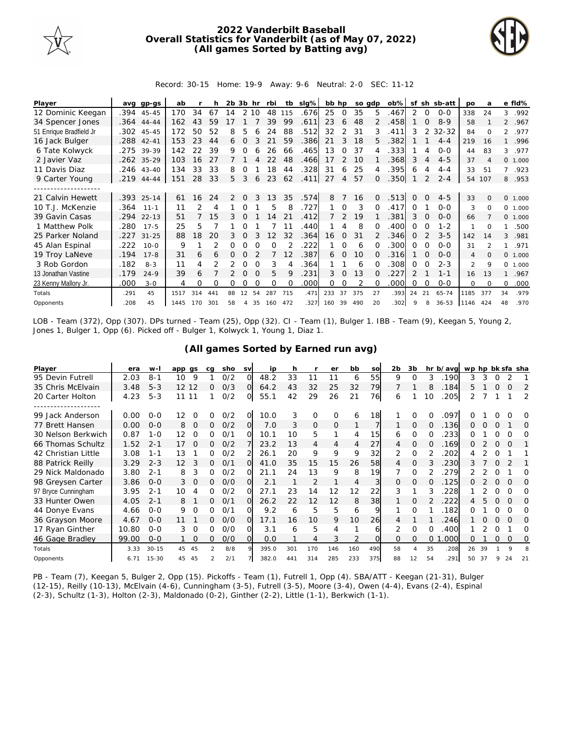

## **2022 Vanderbilt Baseball Overall Statistics for Vanderbilt (as of May 07, 2022) (All games Sorted by Batting avg)**



Record: 30-15 Home: 19-9 Away: 9-6 Neutral: 2-0 SEC: 11-12

| Player                  |      | avg gp-gs    | ab   |     | h              | 2b.            | 3b hr        |          | rbi      | tb          | $slq\%$ | bb hp |                | so adp |              | $ob\%$ | sf            |          | sh sb-att | <b>DO</b> | a                        |                | e fld%   |
|-------------------------|------|--------------|------|-----|----------------|----------------|--------------|----------|----------|-------------|---------|-------|----------------|--------|--------------|--------|---------------|----------|-----------|-----------|--------------------------|----------------|----------|
| 12 Dominic Keegan       |      | .394 45-45   | 170  | 34  | 67             | 14             |              | 2 10     | 48       | 115         | .676    | 25    | 0              | 35     | 5            | .467   | 2             | 0        | $0 - 0$   | 338       | 24                       | 3              | .992     |
| 34 Spencer Jones        |      | $.364$ 44-44 | 162  | 43  | 59             |                |              |          | 39       | 99          | .611    | 23    | 6              | 48     |              | .458   |               | $\Omega$ | $8 - 9$   | 58        |                          |                | 2 .967   |
| 51 Enrique Bradfield Jr |      | .302 45-45   | 172  | 50  | 52             | 8              | 5            |          | 24       | 88          | .512    | 32    | 2              | 31     | 3            | .411   | 3             | 2        | $32 - 32$ | 84        | $\Omega$                 | $\overline{2}$ | .977     |
| 16 Jack Bulger          |      | .288 42-41   | 153  | 23  | 44             | 6              | $\Omega$     |          | 21       | 59          | .386    | 21    | 3              | 18     | 5.           | .382   |               |          | $4 - 4$   | 219       | 16                       | $\mathbf{1}$   | .996     |
| 6 Tate Kolwyck          | .275 | 39-39        | 142  | 22  | 39             | 9              | ∩            |          | 26       | 66          | .465    | 13    | $\Omega$       | 37     |              | .333   |               | 4        | $0 - 0$   | 44        | 83                       | 3              | .977     |
| 2 Javier Vaz            | .262 | $35 - 29$    | 103  | 16  | 27             |                |              |          | 22       | 48          | .466    | 17    | 2              | 10     |              | .368   | 3             | 4        | $4 - 5$   | 37        | $\overline{A}$           |                | 0 1.000  |
| 11 Davis Diaz           |      | .246 43-40   | 134  | 33  | 33             | 8              |              |          | 18       | 44          | .328    | 31    | 6              | 25     | 4            | .395   | 6             | 4        | $4 - 4$   | 33        | 51                       | $7^{\circ}$    | .923     |
| 9 Carter Young          |      | $.219$ 44-44 | 151  | 28  | 33             | 5              | 3            | 6        | 23       | 62          | .411    | 27    | $\overline{4}$ | 57     | $\Omega$     | .350   |               | 2        | $2 - 4$   | 54        | 107                      |                | 8.953    |
|                         |      |              |      |     |                |                |              |          |          |             |         |       |                |        |              |        |               |          |           |           |                          |                |          |
| 21 Calvin Hewett        |      | .393 25-14   | 61   | 16  | 24             | $\overline{2}$ | $\Omega$     | 3        | 13       | 35          | .574    | 8     |                | 16     | $\Omega$     | .513   | $\Omega$      | $\Omega$ | $4 - 5$   | 33        | $\Omega$                 |                | 0 1.000  |
| 10 T.J. McKenzie        | .364 | $11 - 1$     | 11   | 2   | 4              |                |              |          | 5        | 8           | .727    |       | $\Omega$       | 3      | $\Omega$     | .417   | $\Omega$      |          | $0 - 0$   | 3         | 0                        |                | 0 1.000  |
| 39 Gavin Casas          | .294 | $22 - 13$    | 51   |     | 15             | 3              | $\Omega$     |          | 14       | 21          | 412     |       | $\mathcal{L}$  | 19     |              | .381   | 3             | $\Omega$ | $0 - 0$   | 66        |                          |                | 0, 1,000 |
| 1 Matthew Polk          | .280 | $17 - 5$     | 25   | 5   |                |                | Ω            |          |          | 11          | .440    |       | 4              | 8      | $\Omega$     | .400   | $\Omega$      | O        | $1 - 2$   |           | 0                        | 1.             | .500     |
| 25 Parker Noland        | .227 | $31 - 25$    | 88   | 18  | 20             | 3              | $\mathbf 0$  |          | 12       | 32          | .364    | 16    | $\mathbf{0}$   | 31     |              | .346   | $\Omega$      |          | $3 - 5$   | 142       | 14                       | 3              | .981     |
| 45 Alan Espinal         | .222 | $10 - 0$     | 9    |     | $\overline{2}$ | 0              |              | $\Omega$ | $\Omega$ |             | 222     |       | $\Omega$       | 6      | $\Omega$     | .300   | $\Omega$      | $\Omega$ | $0 - 0$   | 31        | $\overline{\mathcal{L}}$ | 1              | .971     |
| 19 Troy LaNeve          | .194 | $17 - 8$     | 31   | 6   | 6              | 0              | <sup>o</sup> |          |          | 12          | 387     | 6     | $\Omega$       | 10     | <sup>o</sup> | .316   |               | $\Omega$ | $0 - 0$   | 4         | $\Omega$                 |                | 0 1.000  |
| 3 Rob Gordon            | .182 | $8 - 3$      | 11   | 4   |                |                | $\Omega$     | $\Omega$ | 3        |             | 364     |       |                | 6      | O            | 308    | $\Omega$      | O        | $2 - 3$   | 2         | 9                        |                | 0 1.000  |
| 13 Jonathan Vastine     | .179 | $24 - 9$     | 39   | 6   |                |                | $\Omega$     | $\Omega$ | 5        | $\mathsf Q$ | 231     | 3     | $\Omega$       | 13     | $\Omega$     | .227   | $\mathcal{P}$ |          | $1 - 1$   | 16        | 13                       | $\mathbf{1}$   | .967     |
| 23 Kenny Mallory Jr.    | .000 | $3 - 0$      | 4    | Ω   | O              | Ω              | Ω            |          | $\Omega$ | O           | .000    | 0     |                |        | O            | .000   | $\Omega$      | $\Omega$ | $0 - 0$   | 0         | $\Omega$                 | 0              | .000     |
| Totals                  | .291 | 45           | 1517 | 314 | 441            | 88             | 12           | 54       | 287      | 715         | .471    | 233   | 37             | 375    | 27           | .393   | 24            | 21       | $65 - 74$ | 1185      | 377                      | 34             | .979     |
| Opponents               | .208 | 45           | 1445 | 170 | 301            | 58             | 4            | 35       | 160      | 472         | 327     | 160   | 39             | 490    | 20           | .302   | $\circ$       | 8        | $36 - 53$ | 1146      | 424                      | 48             | .970     |

LOB - Team (372), Opp (307). DPs turned - Team (25), Opp (32). CI - Team (1), Bulger 1. IBB - Team (9), Keegan 5, Young 2, Jones 1, Bulger 1, Opp (6). Picked off - Bulger 1, Kolwyck 1, Young 1, Diaz 1.

|  |  | (All games Sorted by Earned run avg) |  |  |
|--|--|--------------------------------------|--|--|
|  |  |                                      |  |  |

| Player              | era   | $W -$     | app qs |          | ca | sho | <b>SV</b> | ip    | h   |                | er       | bb             | SO       | 2 <sub>b</sub> | 3b       |          | hr b/avg | wp hp bk sfa sha |    |          |          |          |
|---------------------|-------|-----------|--------|----------|----|-----|-----------|-------|-----|----------------|----------|----------------|----------|----------------|----------|----------|----------|------------------|----|----------|----------|----------|
| 95 Devin Futrell    | 2.03  | $8 - 1$   | 10     | 9        |    | O/2 | ∩         | 48.2  | 33  | 11             | 11       | 6              | 55       | 9              | O        | 3        | 190      | 3                | 3  |          |          |          |
| 35 Chris McElvain   | 3.48  | $5 - 3$   | 12 12  |          | 0  | O/3 | $\Omega$  | 64.2  | 43  | 32             | 25       | 32             | 79       |                |          | 8        | .184     | 5.               |    | $\Omega$ | O        | 2        |
| 20 Carter Holton    | 4.23  | $5 - 3$   | 11 11  |          |    | O/2 | O.        | 55.1  | 42  | 29             | 26       | 21             | 76       | 6              |          | 10       | 205      |                  |    |          |          | 2        |
|                     |       |           |        |          |    |     |           |       |     |                |          |                |          |                |          |          |          |                  |    |          |          |          |
| 99 Jack Anderson    | 0.00  | $O - O$   | 12     |          | Ω  | O/2 | O.        | 10.0  | 3   | O              | O        | 6              | 18       |                | Ω        |          | .097     |                  |    |          |          | O        |
| 77 Brett Hansen     | 0.00  | $0 - 0$   | 8      | $\Omega$ | 0  | O/2 | O.        | 7.0   | 3   | $\Omega$       | $\Omega$ |                |          |                | $\Omega$ | 0        | .136     | 0                |    | $\Omega$ |          | O        |
| 30 Nelson Berkwich  | 0.87  | $1 - 0$   | 12     | ∩        | O  | 0/1 | $\Omega$  | 10.1  | 10  | 5              | 1        | 4              | 15       | 6              | $\Omega$ |          | 233      | ∩                |    |          |          | 0        |
| 66 Thomas Schultz   | 1.52  | $2 - 1$   | 17     | $\Omega$ | 0  | O/2 |           | 23.2  | 13  | 4              | 4        | $\overline{4}$ | 27       | 4              | $\Omega$ | $\Omega$ | .169     | 0                |    | $\Omega$ | $\Omega$ |          |
| 42 Christian Little | 3.08  | $1 - 1$   | 13     |          | 0  | O/2 |           | 26.1  | 20  | 9              | 9        | 9              | 32       | 2              | $\Omega$ |          | 202      | 4                |    | O        |          |          |
| 88 Patrick Reilly   | 3.29  | $2 - 3$   | 12     | 3        | 0  | O/1 | $\Omega$  | 41.0  | 35  | 15             | 15       | 26             | 58       | 4              | $\Omega$ |          | 230      | 3                |    |          |          |          |
| 29 Nick Maldonado   | 3.80  | $2 - 1$   | 8      | 3        | 0  | 0/2 | O         | 21.1  | 24  | 13             | 9        | 8              | 19       |                | $\Omega$ |          | 279      |                  |    |          |          | Ω        |
| 98 Greysen Carter   | 3.86  | $0 - 0$   | 3      | $\Omega$ | 0  | O/O | $\Omega$  | 2.1   |     | $\overline{2}$ |          | 4              | 3        | $\Omega$       | $\Omega$ |          | 125      | O                |    | $\Omega$ | $\Omega$ | $\Omega$ |
| 97 Bryce Cunningham | 3.95  | $2 - 1$   | 10     |          | 0  | O/2 | Ω         | 27.1  | 23  | 14             | 12       | 12             | 22       | 3              |          | 3        | 228      |                  |    | Ω        | O        | Ω        |
| 33 Hunter Owen      | 4.05  | $2 - 1$   | 8      |          | 0  | O/1 | O         | 26.2  | 22  | 12             | 12       | 8              | 38       |                | 0        |          | 222      | 4                | 5  | $\Omega$ | $\Omega$ | O        |
| 44 Donye Evans      | 4.66  | $0 - 0$   | 9      | $\Omega$ | O  | O/1 | O.        | 9.2   | 6   | 5              | 5        | 6              | 9        |                | $\Omega$ |          | 182      | Ω                |    | Ω        | ∩        | 0        |
| 36 Grayson Moore    | 4.67  | $0 - 0$   | 11     |          | 0  | O/O | $\Omega$  | 17.1  | 16  | 10             | 9        | 10             | 26       | 4              |          |          | 246      |                  |    |          |          | $\Omega$ |
| 17 Ryan Ginther     | 10.80 | $0 - 0$   | 3      | $\Omega$ | O  | O/O | ΩI        | 3.1   | 6   | 5              | 4        |                | 61       | 2              | $\Omega$ | $\Omega$ | 400      |                  |    |          |          | Ω        |
| 46 Gage Bradley     | 99.00 | $0 - 0$   |        | $\Omega$ | 0  | O/O | O.        | 0.0   |     | 4              | 3        |                | $\Omega$ | $\Omega$       | $\Omega$ | $\Omega$ | .000     | 0                |    | 0        | 0        | 0        |
| Totals              | 3.33  | $30 - 15$ | 45     | 45       | 2  | 8/8 | $\circ$   | 395.0 | 301 | 170            | 146      | 160            | 490      | 58             | 4        | 35       | .208     | 26               | 39 |          | $\circ$  |          |
| Opponents           | 6.71  | $15 - 30$ | 45     | 45       |    | 2/1 |           | 382.0 | 441 | 314            | 285      | 233            | 375      | 88             | 12       | 54       | .291     | 50               | 37 |          | 24       | 21       |

PB - Team (7), Keegan 5, Bulger 2, Opp (15). Pickoffs - Team (1), Futrell 1, Opp (4). SBA/ATT - Keegan (21-31), Bulger (12-15), Reilly (10-13), McElvain (4-6), Cunningham (3-5), Futrell (3-5), Moore (3-4), Owen (4-4), Evans (2-4), Espinal (2-3), Schultz (1-3), Holton (2-3), Maldonado (0-2), Ginther (2-2), Little (1-1), Berkwich (1-1).